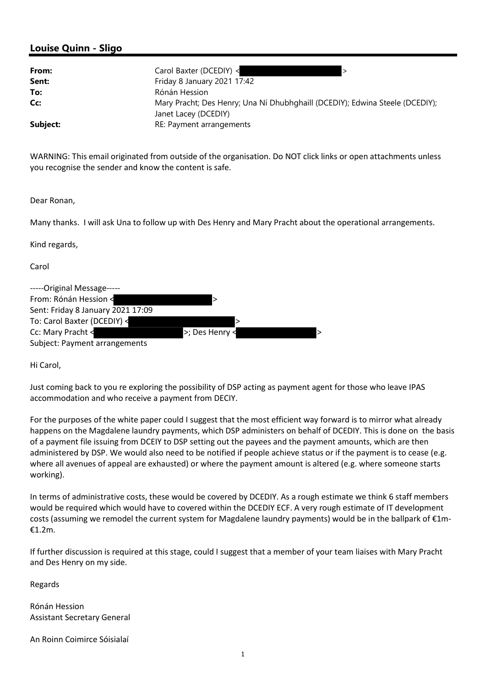## Louise Quinn - Sligo

| From:    | Carol Baxter (DCEDIY) <                                                      |
|----------|------------------------------------------------------------------------------|
| Sent:    | Friday 8 January 2021 17:42                                                  |
| To:      | Rónán Hession                                                                |
| Cc:      | Mary Pracht; Des Henry; Una Ní Dhubhghaill (DCEDIY); Edwina Steele (DCEDIY); |
|          | Janet Lacey (DCEDIY)                                                         |
| Subject: | RE: Payment arrangements                                                     |

WARNING: This email originated from outside of the organisation. Do NOT click links or open attachments unless you recognise the sender and know the content is safe.

Dear Ronan,

Many thanks. I will ask Una to follow up with Des Henry and Mary Pracht about the operational arrangements.

Kind regards,

Carol

| -----Original Message-----        |                |  |
|-----------------------------------|----------------|--|
| From: Rónán Hession <             |                |  |
| Sent: Friday 8 January 2021 17:09 |                |  |
| To: Carol Baxter (DCEDIY) <       |                |  |
| Cc: Mary Pracht <                 | >; Des Henry < |  |
| Subject: Payment arrangements     |                |  |

Hi Carol,

Just coming back to you re exploring the possibility of DSP acting as payment agent for those who leave IPAS accommodation and who receive a payment from DECIY.

For the purposes of the white paper could I suggest that the most efficient way forward is to mirror what already happens on the Magdalene laundry payments, which DSP administers on behalf of DCEDIY. This is done on the basis of a payment file issuing from DCEIY to DSP setting out the payees and the payment amounts, which are then administered by DSP. We would also need to be notified if people achieve status or if the payment is to cease (e.g. where all avenues of appeal are exhausted) or where the payment amount is altered (e.g. where someone starts working).

In terms of administrative costs, these would be covered by DCEDIY. As a rough estimate we think 6 staff members would be required which would have to covered within the DCEDIY ECF. A very rough estimate of IT development costs (assuming we remodel the current system for Magdalene laundry payments) would be in the ballpark of €1m- €1.2m.

If further discussion is required at this stage, could I suggest that a member of your team liaises with Mary Pracht and Des Henry on my side.

Regards

Rónán Hession Assistant Secretary General

An Roinn Coimirce Sóisialaí